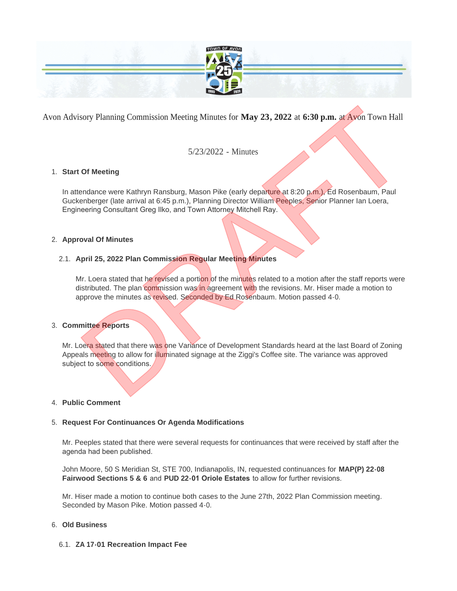

Avon Advisory Planning Commission Meeting Minutes for **May 23, 2022** at **6:30 p.m.** at Avon Town Hall

5/23/2022 - Minutes

## **Start Of Meeting** 1.

In attendance were Kathryn Ransburg, Mason Pike (early departure at 8:20 p.m.), Ed Rosenbaum, Paul Guckenberger (late arrival at 6:45 p.m.), Planning Director William Peeples, Senior Planner Ian Loera, Engineering Consultant Greg Ilko, and Town Attorney Mitchell Ray.

## **Approval Of Minutes** 2.

## **April 25, 2022 Plan Commission Regular Meeting Minutes** 2.1.

Mr. Loera stated that he revised a portion of the minutes related to a motion after the staff reports were distributed. The plan commission was in agreement with the revisions. Mr. Hiser made a motion to approve the minutes as revised. Seconded by Ed Rosenbaum. Motion passed 4-0. sory Planning Commission Meeting Minutes for May 23, 2022 at 6:30 p.m. at Avon Town Hall<br>5/23/2022 - Minutes<br>Dr Meeting<br>andance were Kathryn Ransburg, Mason Pike (early departure at 8:20 p.m.), Ed Rosenbaum, Paul<br>anehorger

## **Committee Reports** 3.

Mr. Loera stated that there was one Variance of Development Standards heard at the last Board of Zoning Appeals meeting to allow for illuminated signage at the Ziggi's Coffee site. The variance was approved subject to some conditions.

### **Public Comment** 4.

### **Request For Continuances Or Agenda Modifications** 5.

Mr. Peeples stated that there were several requests for continuances that were received by staff after the agenda had been published.

John Moore, 50 S Meridian St, STE 700, Indianapolis, IN, requested continuances for **MAP(P) 22-08 Fairwood Sections 5 & 6** and **PUD 22-01 Oriole Estates** to allow for further revisions.

Mr. Hiser made a motion to continue both cases to the June 27th, 2022 Plan Commission meeting. Seconded by Mason Pike. Motion passed 4-0.

### **Old Business** 6.

## **ZA 17-01 Recreation Impact Fee** 6.1.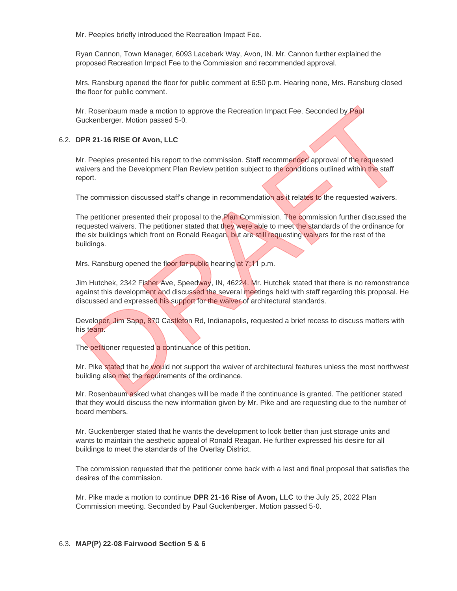Mr. Peeples briefly introduced the Recreation Impact Fee.

Ryan Cannon, Town Manager, 6093 Lacebark Way, Avon, IN. Mr. Cannon further explained the proposed Recreation Impact Fee to the Commission and recommended approval.

Mrs. Ransburg opened the floor for public comment at 6:50 p.m. Hearing none, Mrs. Ransburg closed the floor for public comment.

Mr. Rosenbaum made a motion to approve the Recreation Impact Fee. Seconded by Paul Guckenberger. Motion passed 5-0.

### **DPR 21-16 RISE Of Avon, LLC** 6.2.

Mr. Peeples presented his report to the commission. Staff recommended approval of the requested waivers and the Development Plan Review petition subject to the conditions outlined within the staff report.

The commission discussed staff's change in recommendation as it relates to the requested waivers.

The petitioner presented their proposal to the **Plan Commission. The commission further discussed the** requested waivers. The petitioner stated that they were able to meet the standards of the ordinance for the six buildings which front on Ronald Reagan, but are still requesting waivers for the rest of the buildings. Mr. Rosenbaum made a motion to approve the Recreation Impact Fee. Seconded by Paul<br>Suckenberger. Motion passed 5-0.<br>DPR 21-16 RISE Of Avon, LLC<br>Mr. Peeples presented his report to the commission. Staff recommended approval

Mrs. Ransburg opened the floor for public hearing at 7:11 p.m.

Jim Hutchek, 2342 Fisher Ave, Speedway, IN, 46224. Mr. Hutchek stated that there is no remonstrance against this development and discussed the several meetings held with staff regarding this proposal. He discussed and expressed his support for the waiver of architectural standards.

Developer, Jim Sapp, 870 Castleton Rd, Indianapolis, requested a brief recess to discuss matters with his team.

The petitioner requested a continuance of this petition.

Mr. Pike stated that he would not support the waiver of architectural features unless the most northwest building also met the requirements of the ordinance.

Mr. Rosenbaum asked what changes will be made if the continuance is granted. The petitioner stated that they would discuss the new information given by Mr. Pike and are requesting due to the number of board members.

Mr. Guckenberger stated that he wants the development to look better than just storage units and wants to maintain the aesthetic appeal of Ronald Reagan. He further expressed his desire for all buildings to meet the standards of the Overlay District.

The commission requested that the petitioner come back with a last and final proposal that satisfies the desires of the commission.

Mr. Pike made a motion to continue **DPR 21-16 Rise of Avon, LLC** to the July 25, 2022 Plan Commission meeting. Seconded by Paul Guckenberger. Motion passed 5-0.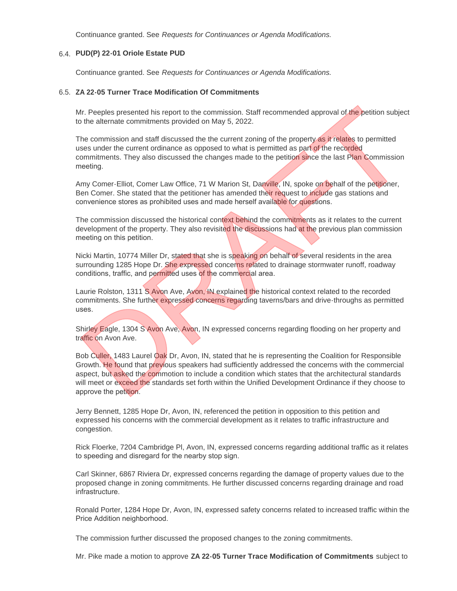Continuance granted. See *Requests for Continuances or Agenda Modifications.*

# **PUD(P) 22-01 Oriole Estate PUD**  6.4.

Continuance granted. See *Requests for Continuances or Agenda Modifications.*

#### **ZA 22-05 Turner Trace Modification Of Commitments** 6.5.

Mr. Peeples presented his report to the commission. Staff recommended approval of the petition subject to the alternate commitments provided on May 5, 2022.

The commission and staff discussed the the current zoning of the property as it relates to permitted uses under the current ordinance as opposed to what is permitted as part of the recorded commitments. They also discussed the changes made to the petition since the last Plan Commission meeting.

Amy Comer-Elliot, Comer Law Office, 71 W Marion St, Danville, IN, spoke on behalf of the petitioner, Ben Comer. She stated that the petitioner has amended their request to include gas stations and convenience stores as prohibited uses and made herself available for questions.

The commission discussed the historical context behind the commitments as it relates to the current development of the property. They also revisited the discussions had at the previous plan commission meeting on this petition.

Nicki Martin, 10774 Miller Dr, stated that she is speaking on behalf of several residents in the area surrounding 1285 Hope Dr. She expressed concerns related to drainage stormwater runoff, roadway conditions, traffic, and permitted uses of the commercial area.

Laurie Rolston, 1311 S Avon Ave, Avon, IN explained the historical context related to the recorded commitments. She further expressed concerns regarding taverns/bars and drive-throughs as permitted uses.

Shirley Eagle, 1304 S Avon Ave, Avon, IN expressed concerns regarding flooding on her property and traffic on Avon Ave.

Bob Culler, 1483 Laurel Oak Dr, Avon, IN, stated that he is representing the Coalition for Responsible Growth. He found that previous speakers had sufficiently addressed the concerns with the commercial aspect, but asked the commotion to include a condition which states that the architectural standards will meet or exceed the standards set forth within the Unified Development Ordinance if they choose to approve the petition. *In.* Peeples presented his report to the commission. Staff recommended approval of the petition subject<br>the alternate commitments provided on May 5, 2022.<br>The commission and staff discussed the the current zoning of the p

Jerry Bennett, 1285 Hope Dr, Avon, IN, referenced the petition in opposition to this petition and expressed his concerns with the commercial development as it relates to traffic infrastructure and congestion.

Rick Floerke, 7204 Cambridge Pl, Avon, IN, expressed concerns regarding additional traffic as it relates to speeding and disregard for the nearby stop sign.

Carl Skinner, 6867 Riviera Dr, expressed concerns regarding the damage of property values due to the proposed change in zoning commitments. He further discussed concerns regarding drainage and road infrastructure.

Ronald Porter, 1284 Hope Dr, Avon, IN, expressed safety concerns related to increased traffic within the Price Addition neighborhood.

The commission further discussed the proposed changes to the zoning commitments.

Mr. Pike made a motion to approve **ZA 22-05 Turner Trace Modification of Commitments** subject to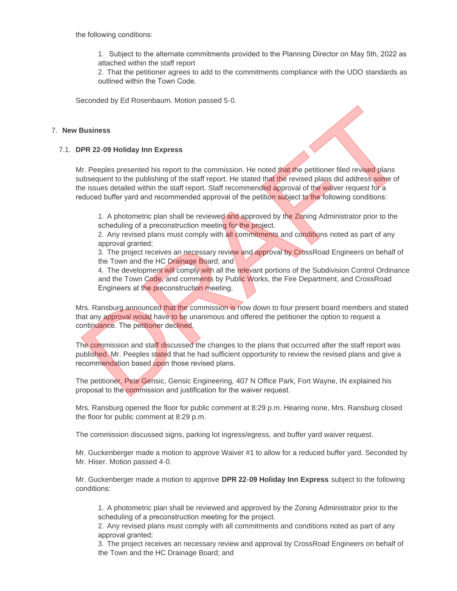the following conditions:

1. Subject to the alternate commitments provided to the Planning Director on May 5th, 2022 as attached within the staff report

2. That the petitioner agrees to add to the commitments compliance with the UDO standards as outlined within the Town Code.

Seconded by Ed Rosenbaum. Motion passed 5-0.

### **New Business** 7.

#### **DPR 22-09 Holiday Inn Express** 7.1.

Mr. Peeples presented his report to the commission. He noted that the petitioner filed revised plans subsequent to the publishing of the staff report. He stated that the revised plans did address some of the issues detailed within the staff report. Staff recommended approval of the waiver request for a reduced buffer yard and recommended approval of the petition subject to the following conditions: **Business**<br> **Business**<br> **REPR 22-09 Holiday Inn Express**<br> **REPR 22-09 Holiday Inn Express**<br> **M.** Peeples presented his report to the commission. He noted that the revised plans did address come of<br>
the subsequent to the pu

1. A photometric plan shall be reviewed and approved by the Zoning Administrator prior to the scheduling of a preconstruction meeting for the project.

2. Any revised plans must comply with all commitments and conditions noted as part of any approval granted;

3. The project receives an necessary review and approval by CrossRoad Engineers on behalf of the Town and the HC Drainage Board; and

4. The development will comply with all the relevant portions of the Subdivision Control Ordinance and the Town Code, and comments by Public Works, the Fire Department, and CrossRoad Engineers at the preconstruction meeting.

Mrs. Ransburg announced that the commission is now down to four present board members and stated that any approval would have to be unanimous and offered the petitioner the option to request a continuance. The petitioner declined.

The commission and staff discussed the changes to the plans that occurred after the staff report was published. Mr. Peeples stated that he had sufficient opportunity to review the revised plans and give a recommendation based upon those revised plans.

The petitioner, Pete Gensic, Gensic Engineering, 407 N Office Park, Fort Wayne, IN explained his proposal to the commission and justification for the waiver request.

Mrs. Ransburg opened the floor for public comment at 8:29 p.m. Hearing none, Mrs. Ransburg closed the floor for public comment at 8:29 p.m.

The commission discussed signs, parking lot ingress/egress, and buffer yard waiver request.

Mr. Guckenberger made a motion to approve Waiver #1 to allow for a reduced buffer yard. Seconded by Mr. Hiser. Motion passed 4-0.

Mr. Guckenberger made a motion to approve **DPR 22-09 Holiday Inn Express** subject to the following conditions:

1. A photometric plan shall be reviewed and approved by the Zoning Administrator prior to the scheduling of a preconstruction meeting for the project.

2. Any revised plans must comply with all commitments and conditions noted as part of any approval granted;

3. The project receives an necessary review and approval by CrossRoad Engineers on behalf of the Town and the HC Drainage Board; and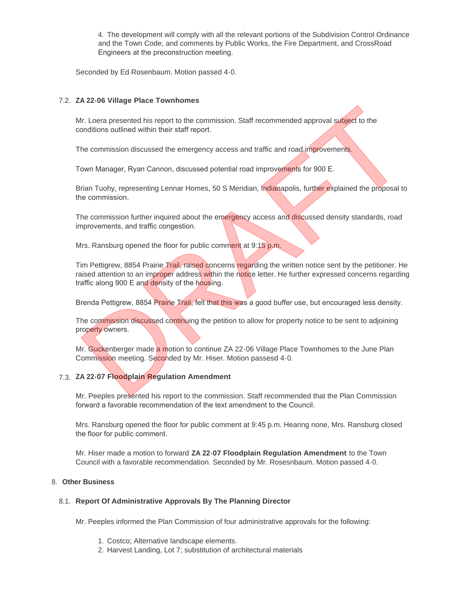4. The development will comply with all the relevant portions of the Subdivision Control Ordinance and the Town Code, and comments by Public Works, the Fire Department, and CrossRoad Engineers at the preconstruction meeting.

Seconded by Ed Rosenbaum. Motion passed 4-0.

## 7.2. ZA 22-06 Village Place Townhomes

Mr. Loera presented his report to the commission. Staff recommended approval subject to the conditions outlined within their staff report.

The commission discussed the emergency access and traffic and road improvements.

Town Manager, Ryan Cannon, discussed potential road improvements for 900 E.

Brian Tuohy, representing Lennar Homes, 50 S Meridian, Indianapolis, further explained the proposal to the commission.

The commission further inquired about the emergency access and discussed density standards, road improvements, and traffic congestion.

Mrs. Ransburg opened the floor for public comment at 9:15 p.m.

Tim Pettigrew, 8854 Prairie Trail, raised concerns regarding the written notice sent by the petitioner. He raised attention to an improper address within the notice letter. He further expressed concerns regarding traffic along 900 E and density of the housing. Example of the commission. Staff recommended approval subject to the<br>
Art. Loera presented in seport to the commission. Staff recommended approval subject to the<br>
The commission discussed the emergency access and traffic a

Brenda Pettigrew, 8854 Prairie Trail, felt that this was a good buffer use, but encouraged less density.

The commission discussed continuing the petition to allow for property notice to be sent to adjoining property owners.

Mr. Guckenberger made a motion to continue ZA 22-06 Village Place Townhomes to the June Plan Commission meeting. Seconded by Mr. Hiser. Motion passesd 4-0.

# **ZA 22-07 Floodplain Regulation Amendment**  7.3.

Mr. Peeples presented his report to the commission. Staff recommended that the Plan Commission forward a favorable recommendation of the text amendment to the Council.

Mrs. Ransburg opened the floor for public comment at 9:45 p.m. Hearing none, Mrs. Ransburg closed the floor for public comment.

Mr. Hiser made a motion to forward **ZA 22-07 Floodplain Regulation Amendment** to the Town Council with a favorable recommendation. Seconded by Mr. Rosesnbaum. Motion passed 4-0.

### **Other Business** 8.

## **Report Of Administrative Approvals By The Planning Director** 8.1.

Mr. Peeples informed the Plan Commission of four administrative approvals for the following:

- 1. Costco; Alternative landscape elements.
- 2. Harvest Landing, Lot 7; substitution of architectural materials